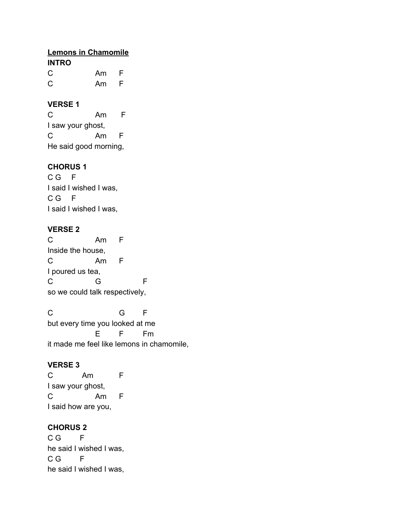## **Lemons in Chamomile INTRO** C Am F

C Am F

## **VERSE 1**

C Am F I saw your ghost, C Am F He said good morning,

# **CHORUS 1**

C G F I said I wished I was, C G F I said I wished I was,

# **VERSE 2**

C Am F Inside the house, C Am F I poured us tea, C G F so we could talk respectively,

C G F but every time you looked at me E F Fm it made me feel like lemons in chamomile,

# **VERSE 3**

C Am F I saw your ghost, C Am F I said how are you,

### **CHORUS 2**

C G F he said I wished I was, C G F he said I wished I was,